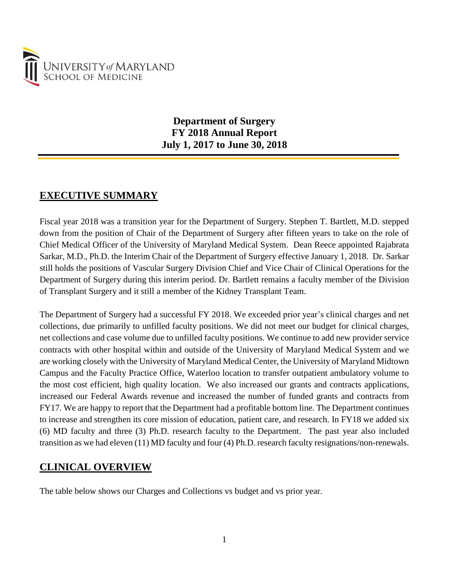

# **Department of Surgery FY 2018 Annual Report July 1, 2017 to June 30, 2018**

# **EXECUTIVE SUMMARY**

Fiscal year 2018 was a transition year for the Department of Surgery. Stephen T. Bartlett, M.D. stepped down from the position of Chair of the Department of Surgery after fifteen years to take on the role of Chief Medical Officer of the University of Maryland Medical System. Dean Reece appointed Rajabrata Sarkar, M.D., Ph.D. the Interim Chair of the Department of Surgery effective January 1, 2018. Dr. Sarkar still holds the positions of Vascular Surgery Division Chief and Vice Chair of Clinical Operations for the Department of Surgery during this interim period. Dr. Bartlett remains a faculty member of the Division of Transplant Surgery and it still a member of the Kidney Transplant Team.

The Department of Surgery had a successful FY 2018. We exceeded prior year's clinical charges and net collections, due primarily to unfilled faculty positions. We did not meet our budget for clinical charges, net collections and case volume due to unfilled faculty positions. We continue to add new provider service contracts with other hospital within and outside of the University of Maryland Medical System and we are working closely with the University of Maryland Medical Center, the University of Maryland Midtown Campus and the Faculty Practice Office, Waterloo location to transfer outpatient ambulatory volume to the most cost efficient, high quality location. We also increased our grants and contracts applications, increased our Federal Awards revenue and increased the number of funded grants and contracts from FY17. We are happy to report that the Department had a profitable bottom line. The Department continues to increase and strengthen its core mission of education, patient care, and research. In FY18 we added six (6) MD faculty and three (3) Ph.D. research faculty to the Department. The past year also included transition as we had eleven (11) MD faculty and four (4) Ph.D. research faculty resignations/non-renewals.

# **CLINICAL OVERVIEW**

The table below shows our Charges and Collections vs budget and vs prior year.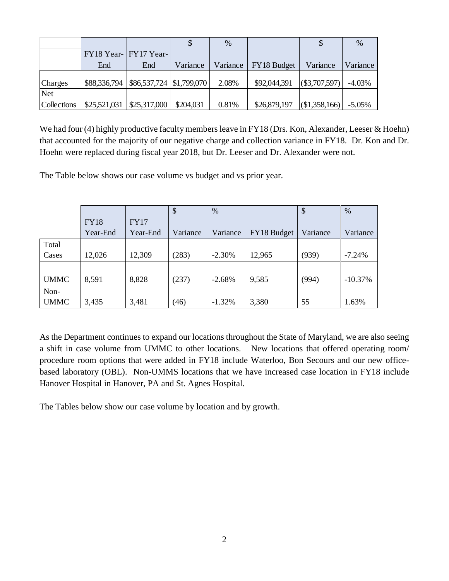|             |                       |                                     |           | $\%$     |              |              | $\frac{0}{0}$ |
|-------------|-----------------------|-------------------------------------|-----------|----------|--------------|--------------|---------------|
|             | FY18 Year- FY17 Year- |                                     |           |          |              |              |               |
|             | End                   | End                                 | Variance  | Variance | FY18 Budget  | Variance     | Variance      |
| Charges     | \$88,336,794          | $ $86,537,724 \mid $1,799,070 \mid$ |           | 2.08%    | \$92,044,391 | (S3,707,597) | $-4.03%$      |
| <b>Net</b>  |                       |                                     |           |          |              |              |               |
| Collections |                       | $$25,521,031$ $$25,317,000$         | \$204,031 | 0.81%    | \$26,879,197 | (S1,358,166) | $-5.05\%$     |

We had four (4) highly productive faculty members leave in FY18 (Drs. Kon, Alexander, Leeser & Hoehn) that accounted for the majority of our negative charge and collection variance in FY18. Dr. Kon and Dr. Hoehn were replaced during fiscal year 2018, but Dr. Leeser and Dr. Alexander were not.

The Table below shows our case volume vs budget and vs prior year.

|             |             |             | \$       | $\%$     |             | \$       | $\%$      |
|-------------|-------------|-------------|----------|----------|-------------|----------|-----------|
|             | <b>FY18</b> | <b>FY17</b> |          |          |             |          |           |
|             | Year-End    | Year-End    | Variance | Variance | FY18 Budget | Variance | Variance  |
| Total       |             |             |          |          |             |          |           |
| Cases       | 12,026      | 12,309      | (283)    | $-2.30%$ | 12,965      | (939)    | $-7.24%$  |
|             |             |             |          |          |             |          |           |
| <b>UMMC</b> | 8,591       | 8,828       | (237)    | $-2.68%$ | 9,585       | (994)    | $-10.37%$ |
| Non-        |             |             |          |          |             |          |           |
| <b>UMMC</b> | 3,435       | 3,481       | (46)     | $-1.32%$ | 3,380       | 55       | 1.63%     |

As the Department continues to expand our locations throughout the State of Maryland, we are also seeing a shift in case volume from UMMC to other locations. New locations that offered operating room/ procedure room options that were added in FY18 include Waterloo, Bon Secours and our new officebased laboratory (OBL). Non-UMMS locations that we have increased case location in FY18 include Hanover Hospital in Hanover, PA and St. Agnes Hospital.

The Tables below show our case volume by location and by growth.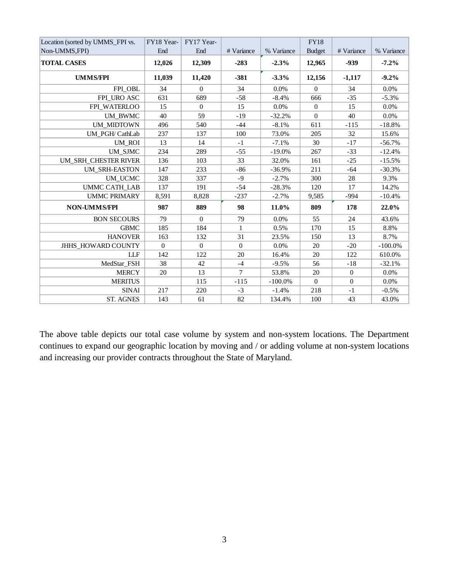| Location (sorted by UMMS_FPI vs. | FY18 Year- | FY17 Year-     |                |            | <b>FY18</b>      |                  |            |
|----------------------------------|------------|----------------|----------------|------------|------------------|------------------|------------|
| Non-UMMS, FPI)                   | End        | End            | # Variance     | % Variance | <b>Budget</b>    | # Variance       | % Variance |
| <b>TOTAL CASES</b>               | 12,026     | 12,309         | $-283$         | $-2.3%$    | 12,965           | $-939$           | $-7.2\%$   |
| <b>UMMS/FPI</b>                  | 11,039     | 11,420         | $-381$         | $-3.3%$    | 12,156           | $-1,117$         | $-9.2%$    |
| FPI OBL                          | 34         | $\Omega$       | 34             | 0.0%       | $\theta$         | 34               | 0.0%       |
| FPI_URO ASC                      | 631        | 689            | $-58$          | $-8.4%$    | 666              | $-35$            | $-5.3%$    |
| FPI_WATERLOO                     | 15         | $\overline{0}$ | 15             | 0.0%       | $\boldsymbol{0}$ | 15               | 0.0%       |
| UM_BWMC                          | 40         | 59             | $-19$          | $-32.2%$   | $\Omega$         | 40               | 0.0%       |
| <b>UM_MIDTOWN</b>                | 496        | 540            | $-44$          | $-8.1%$    | 611              | $-115$           | $-18.8%$   |
| UM PGH/ CathLab                  | 237        | 137            | 100            | 73.0%      | 205              | 32               | 15.6%      |
| <b>UM ROI</b>                    | 13         | 14             | $-1$           | $-7.1%$    | 30               | $-17$            | $-56.7%$   |
| UM SJMC                          | 234        | 289            | $-55$          | $-19.0%$   | 267              | $-33$            | $-12.4%$   |
| UM SRH CHESTER RIVER             | 136        | 103            | 33             | 32.0%      | 161              | $-25$            | $-15.5%$   |
| <b>UM SRH-EASTON</b>             | 147        | 233            | $-86$          | $-36.9%$   | 211              | $-64$            | $-30.3%$   |
| UM_UCMC                          | 328        | 337            | $-9$           | $-2.7%$    | 300              | 28               | 9.3%       |
| <b>UMMC CATH LAB</b>             | 137        | 191            | $-54$          | $-28.3%$   | 120              | 17               | 14.2%      |
| <b>UMMC PRIMARY</b>              | 8,591      | 8,828          | $-237$         | $-2.7%$    | 9,585            | $-994$           | $-10.4%$   |
| <b>NON-UMMS/FPI</b>              | 987        | 889            | 98             | 11.0%      | 809              | 178              | 22.0%      |
| <b>BON SECOURS</b>               | 79         | $\theta$       | 79             | 0.0%       | 55               | 24               | 43.6%      |
| <b>GBMC</b>                      | 185        | 184            | $\mathbf{1}$   | 0.5%       | 170              | 15               | 8.8%       |
| <b>HANOVER</b>                   | 163        | 132            | 31             | 23.5%      | 150              | 13               | 8.7%       |
| JHHS_HOWARD COUNTY               | $\theta$   | $\theta$       | $\overline{0}$ | 0.0%       | 20               | $-20$            | $-100.0\%$ |
| <b>LLF</b>                       | 142        | 122            | 20             | 16.4%      | 20               | 122              | 610.0%     |
| MedStar_FSH                      | 38         | 42             | $-4$           | $-9.5%$    | 56               | $-18$            | $-32.1%$   |
| <b>MERCY</b>                     | 20         | 13             | $\overline{7}$ | 53.8%      | 20               | $\boldsymbol{0}$ | 0.0%       |
| <b>MERITUS</b>                   |            | 115            | $-115$         | $-100.0\%$ | $\overline{0}$   | $\theta$         | $0.0\%$    |
| <b>SINAI</b>                     | 217        | 220            | $-3$           | $-1.4%$    | 218              | $-1$             | $-0.5%$    |
| <b>ST. AGNES</b>                 | 143        | 61             | 82             | 134.4%     | 100              | 43               | 43.0%      |

The above table depicts our total case volume by system and non-system locations. The Department continues to expand our geographic location by moving and / or adding volume at non-system locations and increasing our provider contracts throughout the State of Maryland.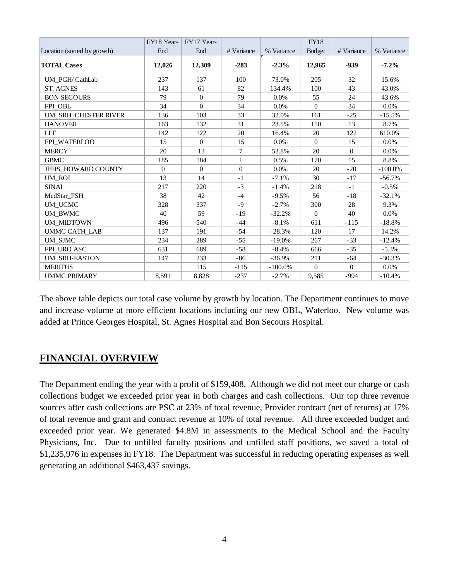|                             | FY18 Year- | FY17 Year- |              |            | <b>FY18</b>   |            |            |
|-----------------------------|------------|------------|--------------|------------|---------------|------------|------------|
| Location (sorted by growth) | End        | End        | # Variance   | % Variance | <b>Budget</b> | # Variance | % Variance |
| <b>TOTAL Cases</b>          | 12,026     | 12,309     | $-283$       | $-2.3%$    | 12,965        | -939       | $-7.2\%$   |
| UM PGH/ CathLab             | 237        | 137        | 100          | 73.0%      | 205           | 32         | 15.6%      |
| <b>ST. AGNES</b>            | 143        | 61         | 82           | 134.4%     | 100           | 43         | 43.0%      |
| <b>BON SECOURS</b>          | 79         | $\theta$   | 79           | $0.0\%$    | 55            | 24         | 43.6%      |
| FPI OBL                     | 34         | $\Omega$   | 34           | 0.0%       | $\Omega$      | 34         | $0.0\%$    |
| UM SRH CHESTER RIVER        | 136        | 103        | 33           | 32.0%      | 161           | $-25$      | $-15.5%$   |
| <b>HANOVER</b>              | 163        | 132        | 31           | 23.5%      | 150           | 13         | 8.7%       |
| <b>LLF</b>                  | 142        | 122        | 20           | 16.4%      | 20            | 122        | 610.0%     |
| FPI WATERLOO                | 15         | $\theta$   | 15           | $0.0\%$    | $\Omega$      | 15         | $0.0\%$    |
| <b>MERCY</b>                | 20         | 13         | $\tau$       | 53.8%      | 20            | $\Omega$   | $0.0\%$    |
| <b>GBMC</b>                 | 185        | 184        | $\mathbf{1}$ | 0.5%       | 170           | 15         | 8.8%       |
| JHHS HOWARD COUNTY          | $\Omega$   | $\Omega$   | $\theta$     | $0.0\%$    | 20            | $-20$      | $-100.0%$  |
| UM ROI                      | 13         | 14         | $-1$         | $-7.1%$    | 30            | $-17$      | $-56.7%$   |
| <b>SINAI</b>                | 217        | 220        | $-3$         | $-1.4%$    | 218           | $-1$       | $-0.5\%$   |
| MedStar FSH                 | 38         | 42         | $-4$         | $-9.5%$    | 56            | $-18$      | $-32.1%$   |
| UM_UCMC                     | 328        | 337        | $-9$         | $-2.7%$    | 300           | 28         | 9.3%       |
| UM_BWMC                     | 40         | 59         | $-19$        | $-32.2%$   | $\Omega$      | 40         | $0.0\%$    |
| UM MIDTOWN                  | 496        | 540        | $-44$        | $-8.1%$    | 611           | $-115$     | $-18.8%$   |
| <b>UMMC CATH_LAB</b>        | 137        | 191        | $-54$        | $-28.3%$   | 120           | 17         | 14.2%      |
| UM_SJMC                     | 234        | 289        | $-55$        | $-19.0\%$  | 267           | $-33$      | $-12.4%$   |
| FPI URO ASC                 | 631        | 689        | $-58$        | $-8.4%$    | 666           | $-35$      | $-5.3%$    |
| <b>UM_SRH-EASTON</b>        | 147        | 233        | $-86$        | $-36.9%$   | 211           | $-64$      | $-30.3%$   |
| <b>MERITUS</b>              |            | 115        | $-115$       | $-100.0\%$ | $\Omega$      | $\Omega$   | $0.0\%$    |
| <b>UMMC PRIMARY</b>         | 8,591      | 8,828      | $-237$       | $-2.7%$    | 9,585         | $-994$     | $-10.4%$   |

The above table depicts our total case volume by growth by location. The Department continues to move and increase volume at more efficient locations including our new OBL, Waterloo. New volume was added at Prince Georges Hospital, St. Agnes Hospital and Bon Secours Hospital.

# **FINANCIAL OVERVIEW**

The Department ending the year with a profit of \$159,408. Although we did not meet our charge or cash collections budget we exceeded prior year in both charges and cash collections. Our top three revenue sources after cash collections are PSC at 23% of total revenue, Provider contract (net of returns) at 17% of total revenue and grant and contract revenue at 10% of total revenue. All three exceeded budget and exceeded prior year. We generated \$4.8M in assessments to the Medical School and the Faculty Physicians, Inc. Due to unfilled faculty positions and unfilled staff positions, we saved a total of \$1,235,976 in expenses in FY18. The Department was successful in reducing operating expenses as well generating an additional \$463,437 savings.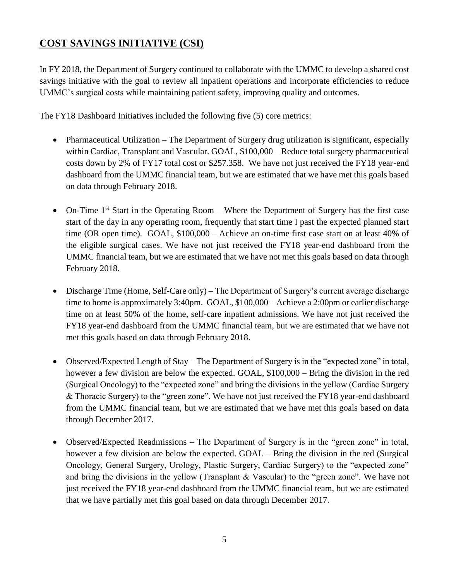# **COST SAVINGS INITIATIVE (CSI)**

In FY 2018, the Department of Surgery continued to collaborate with the UMMC to develop a shared cost savings initiative with the goal to review all inpatient operations and incorporate efficiencies to reduce UMMC's surgical costs while maintaining patient safety, improving quality and outcomes.

The FY18 Dashboard Initiatives included the following five (5) core metrics:

- Pharmaceutical Utilization The Department of Surgery drug utilization is significant, especially within Cardiac, Transplant and Vascular. GOAL, \$100,000 – Reduce total surgery pharmaceutical costs down by 2% of FY17 total cost or \$257.358. We have not just received the FY18 year-end dashboard from the UMMC financial team, but we are estimated that we have met this goals based on data through February 2018.
- On-Time  $1<sup>st</sup>$  Start in the Operating Room Where the Department of Surgery has the first case start of the day in any operating room, frequently that start time I past the expected planned start time (OR open time). GOAL, \$100,000 – Achieve an on-time first case start on at least 40% of the eligible surgical cases. We have not just received the FY18 year-end dashboard from the UMMC financial team, but we are estimated that we have not met this goals based on data through February 2018.
- Discharge Time (Home, Self-Care only) The Department of Surgery's current average discharge time to home is approximately 3:40pm. GOAL, \$100,000 – Achieve a 2:00pm or earlier discharge time on at least 50% of the home, self-care inpatient admissions. We have not just received the FY18 year-end dashboard from the UMMC financial team, but we are estimated that we have not met this goals based on data through February 2018.
- Observed/Expected Length of Stay The Department of Surgery is in the "expected zone" in total, however a few division are below the expected. GOAL, \$100,000 – Bring the division in the red (Surgical Oncology) to the "expected zone" and bring the divisions in the yellow (Cardiac Surgery & Thoracic Surgery) to the "green zone". We have not just received the FY18 year-end dashboard from the UMMC financial team, but we are estimated that we have met this goals based on data through December 2017.
- Observed/Expected Readmissions The Department of Surgery is in the "green zone" in total, however a few division are below the expected. GOAL – Bring the division in the red (Surgical Oncology, General Surgery, Urology, Plastic Surgery, Cardiac Surgery) to the "expected zone" and bring the divisions in the yellow (Transplant & Vascular) to the "green zone". We have not just received the FY18 year-end dashboard from the UMMC financial team, but we are estimated that we have partially met this goal based on data through December 2017.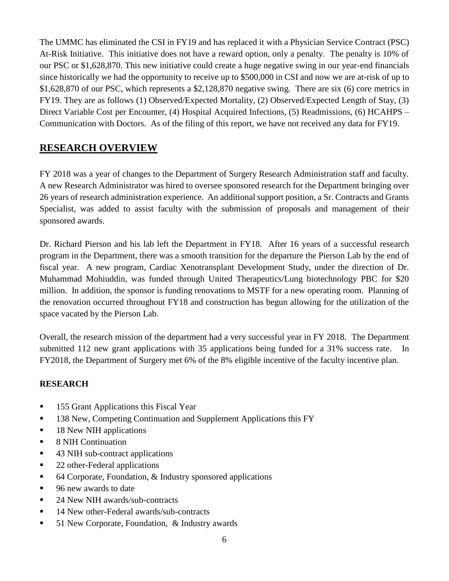The UMMC has eliminated the CSI in FY19 and has replaced it with a Physician Service Contract (PSC) At-Risk Initiative. This initiative does not have a reward option, only a penalty. The penalty is 10% of our PSC or \$1,628,870. This new initiative could create a huge negative swing in our year-end financials since historically we had the opportunity to receive up to \$500,000 in CSI and now we are at-risk of up to \$1,628,870 of our PSC, which represents a \$2,128,870 negative swing. There are six (6) core metrics in FY19. They are as follows (1) Observed/Expected Mortality, (2) Observed/Expected Length of Stay, (3) Direct Variable Cost per Encounter, (4) Hospital Acquired Infections, (5) Readmissions, (6) HCAHPS – Communication with Doctors. As of the filing of this report, we have not received any data for FY19.

# **RESEARCH OVERVIEW**

FY 2018 was a year of changes to the Department of Surgery Research Administration staff and faculty. A new Research Administrator was hired to oversee sponsored research for the Department bringing over 26 years of research administration experience. An additional support position, a Sr. Contracts and Grants Specialist, was added to assist faculty with the submission of proposals and management of their sponsored awards.

Dr. Richard Pierson and his lab left the Department in FY18. After 16 years of a successful research program in the Department, there was a smooth transition for the departure the Pierson Lab by the end of fiscal year. A new program, Cardiac Xenotransplant Development Study, under the direction of Dr. Muhammad Mohiuddin, was funded through United Therapeutics/Lung biotechnology PBC for \$20 million. In addition, the sponsor is funding renovations to MSTF for a new operating room. Planning of the renovation occurred throughout FY18 and construction has begun allowing for the utilization of the space vacated by the Pierson Lab.

Overall, the research mission of the department had a very successful year in FY 2018. The Department submitted 112 new grant applications with 35 applications being funded for a 31% success rate. In FY2018, the Department of Surgery met 6% of the 8% eligible incentive of the faculty incentive plan.

## **RESEARCH**

- **155 Grant Applications this Fiscal Year**
- 138 New, Competing Continuation and Supplement Applications this FY
- 18 New NIH applications
- 8 NIH Continuation
- 43 NIH sub-contract applications
- 22 other-Federal applications
- 64 Corporate, Foundation, & Industry sponsored applications
- 96 new awards to date
- 24 New NIH awards/sub-contracts
- 14 New other-Federal awards/sub-contracts
- 51 New Corporate, Foundation, & Industry awards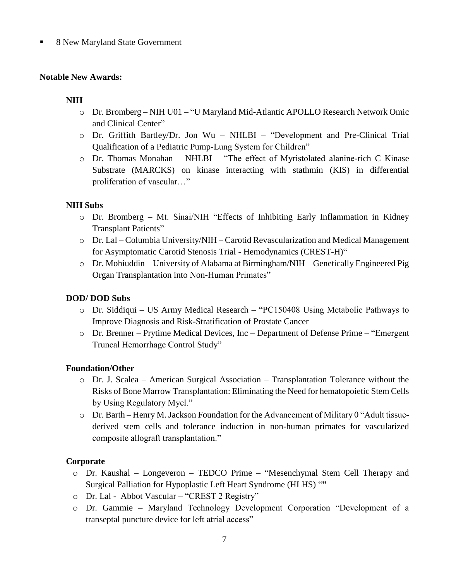#### 8 New Maryland State Government

#### **Notable New Awards:**

#### **NIH**

- o Dr. Bromberg NIH U01 "U Maryland Mid-Atlantic APOLLO Research Network Omic and Clinical Center"
- o Dr. Griffith Bartley/Dr. Jon Wu NHLBI "Development and Pre-Clinical Trial Qualification of a Pediatric Pump-Lung System for Children"
- o Dr. Thomas Monahan NHLBI "The effect of Myristolated alanine-rich C Kinase Substrate (MARCKS) on kinase interacting with stathmin (KIS) in differential proliferation of vascular…"

#### **NIH Subs**

- o Dr. Bromberg Mt. Sinai/NIH "Effects of Inhibiting Early Inflammation in Kidney Transplant Patients"
- o Dr. Lal Columbia University/NIH Carotid Revascularization and Medical Management for Asymptomatic Carotid Stenosis Trial - Hemodynamics (CREST-H)"
- o Dr. Mohiuddin University of Alabama at Birmingham/NIH Genetically Engineered Pig Organ Transplantation into Non-Human Primates"

#### **DOD/ DOD Subs**

- o Dr. Siddiqui US Army Medical Research "PC150408 Using Metabolic Pathways to Improve Diagnosis and Risk-Stratification of Prostate Cancer
- o Dr. Brenner Prytime Medical Devices, Inc Department of Defense Prime "Emergent Truncal Hemorrhage Control Study"

#### **Foundation/Other**

- $\circ$  Dr. J. Scalea American Surgical Association Transplantation Tolerance without the Risks of Bone Marrow Transplantation: Eliminating the Need for hematopoietic Stem Cells by Using Regulatory Myel."
- o Dr. Barth Henry M. Jackson Foundation for the Advancement of Military 0 "Adult tissuederived stem cells and tolerance induction in non-human primates for vascularized composite allograft transplantation."

#### **Corporate**

- o Dr. Kaushal Longeveron TEDCO Prime "Mesenchymal Stem Cell Therapy and Surgical Palliation for Hypoplastic Left Heart Syndrome (HLHS) "**"**
- o Dr. Lal Abbot Vascular "CREST 2 Registry"
- o Dr. Gammie Maryland Technology Development Corporation "Development of a transeptal puncture device for left atrial access"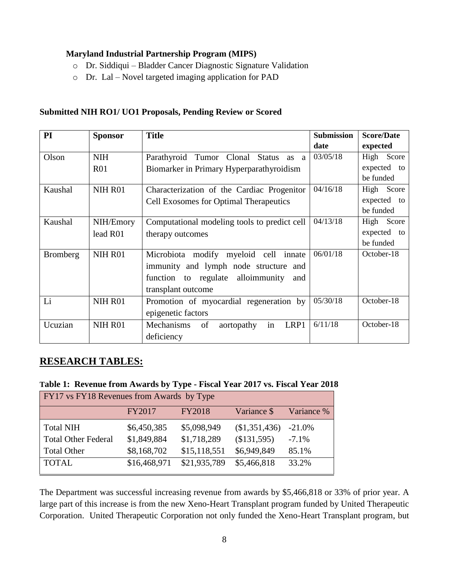#### **Maryland Industrial Partnership Program (MIPS)**

- o Dr. Siddiqui Bladder Cancer Diagnostic Signature Validation
- o Dr. Lal Novel targeted imaging application for PAD

#### **Submitted NIH RO1/ UO1 Proposals, Pending Review or Scored**

| PI              | <b>Sponsor</b> | <b>Title</b>                                  | <b>Submission</b> | <b>Score/Date</b> |
|-----------------|----------------|-----------------------------------------------|-------------------|-------------------|
|                 |                |                                               | date              | expected          |
| Olson           | <b>NIH</b>     | Parathyroid Tumor Clonal<br>Status as<br>a    | 03/05/18          | High Score        |
|                 | <b>R01</b>     | Biomarker in Primary Hyperparathyroidism      |                   | expected to       |
|                 |                |                                               |                   | be funded         |
| Kaushal         | NIH R01        | Characterization of the Cardiac Progenitor    | 04/16/18          | High Score        |
|                 |                | <b>Cell Exosomes for Optimal Therapeutics</b> |                   | expected to       |
|                 |                |                                               |                   | be funded         |
| Kaushal         | NIH/Emory      | Computational modeling tools to predict cell  | 04/13/18          | High Score        |
|                 | lead R01       | therapy outcomes                              |                   | expected to       |
|                 |                |                                               |                   | be funded         |
| <b>Bromberg</b> | NIH R01        | Microbiota modify myeloid cell innate         | 06/01/18          | October-18        |
|                 |                | immunity and lymph node structure and         |                   |                   |
|                 |                | function to regulate alloimmunity<br>and      |                   |                   |
|                 |                | transplant outcome                            |                   |                   |
| Li              | NIH R01        | Promotion of myocardial regeneration by       | 05/30/18          | October-18        |
|                 |                | epigenetic factors                            |                   |                   |
| Ucuzian         | NIH R01        | in<br>Mechanisms<br>of<br>LRP1<br>aortopathy  | 6/11/18           | October-18        |
|                 |                | deficiency                                    |                   |                   |

## **RESEARCH TABLES:**

#### **Table 1: Revenue from Awards by Type - Fiscal Year 2017 vs. Fiscal Year 2018**

| <b>FY17</b> vs FY18 Revenues from Awards by Type |              |               |             |            |  |  |
|--------------------------------------------------|--------------|---------------|-------------|------------|--|--|
|                                                  | FY2017       | <b>FY2018</b> | Variance \$ | Variance % |  |  |
| <b>Total NIH</b>                                 | \$6,450,385  | \$5,098,949   | \$1,351,436 | $-21.0\%$  |  |  |
| <b>Total Other Federal</b>                       | \$1,849,884  | \$1,718,289   | (\$131,595) | $-7.1\%$   |  |  |
| <b>Total Other</b>                               | \$8,168,702  | \$15,118,551  | \$6,949,849 | 85.1%      |  |  |
| <b>TOTAL</b>                                     | \$16,468,971 | \$21,935,789  | \$5,466,818 | 33.2%      |  |  |

The Department was successful increasing revenue from awards by \$5,466,818 or 33% of prior year. A large part of this increase is from the new Xeno-Heart Transplant program funded by United Therapeutic Corporation. United Therapeutic Corporation not only funded the Xeno-Heart Transplant program, but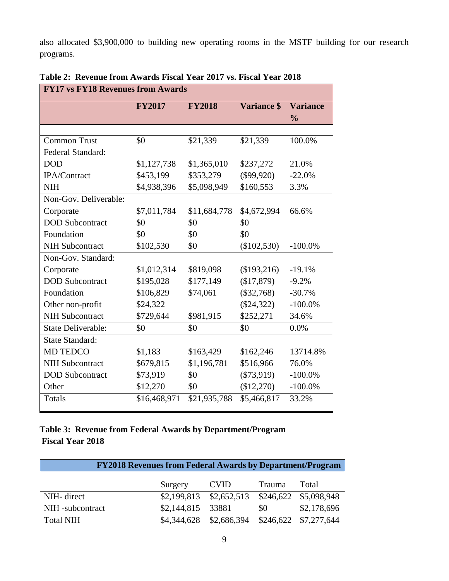also allocated \$3,900,000 to building new operating rooms in the MSTF building for our research programs.

| <b>FY17 vs FY18 Revenues from Awards</b> |               |               |                    |                 |
|------------------------------------------|---------------|---------------|--------------------|-----------------|
|                                          | <b>FY2017</b> | <b>FY2018</b> | <b>Variance \$</b> | <b>Variance</b> |
|                                          |               |               |                    | $\frac{0}{0}$   |
|                                          |               |               |                    |                 |
| <b>Common Trust</b>                      | \$0           | \$21,339      | \$21,339           | 100.0%          |
| Federal Standard:                        |               |               |                    |                 |
| <b>DOD</b>                               | \$1,127,738   | \$1,365,010   | \$237,272          | 21.0%           |
| IPA/Contract                             | \$453,199     | \$353,279     | $(\$99,920)$       | $-22.0%$        |
| <b>NIH</b>                               | \$4,938,396   | \$5,098,949   | \$160,553          | 3.3%            |
| Non-Gov. Deliverable:                    |               |               |                    |                 |
| Corporate                                | \$7,011,784   | \$11,684,778  | \$4,672,994        | 66.6%           |
| <b>DOD</b> Subcontract                   | \$0           | \$0           | \$0                |                 |
| Foundation                               | \$0           | \$0           | \$0                |                 |
| <b>NIH Subcontract</b>                   | \$102,530     | \$0           | $(\$102,530)$      | $-100.0\%$      |
| Non-Gov. Standard:                       |               |               |                    |                 |
| Corporate                                | \$1,012,314   | \$819,098     | (\$193,216)        | $-19.1%$        |
| <b>DOD</b> Subcontract                   | \$195,028     | \$177,149     | (\$17,879)         | $-9.2%$         |
| Foundation                               | \$106,829     | \$74,061      | $(\$32,768)$       | $-30.7%$        |
| Other non-profit                         | \$24,322      |               | $(\$24,322)$       | $-100.0\%$      |
| <b>NIH Subcontract</b>                   | \$729,644     | \$981,915     | \$252,271          | 34.6%           |
| <b>State Deliverable:</b>                | \$0           | \$0           | \$0                | 0.0%            |
| <b>State Standard:</b>                   |               |               |                    |                 |
| MD TEDCO                                 | \$1,183       | \$163,429     | \$162,246          | 13714.8%        |
| <b>NIH Subcontract</b>                   | \$679,815     | \$1,196,781   | \$516,966          | 76.0%           |
| <b>DOD</b> Subcontract                   | \$73,919      | \$0           | $(\$73,919)$       | $-100.0\%$      |
| Other                                    | \$12,270      | \$0           | (\$12,270)         | $-100.0\%$      |
| Totals                                   | \$16,468,971  | \$21,935,788  | \$5,466,817        | 33.2%           |

**Table 2: Revenue from Awards Fiscal Year 2017 vs. Fiscal Year 2018**

## **Table 3: Revenue from Federal Awards by Department/Program Fiscal Year 2018**

| <b>FY2018 Revenues from Federal Awards by Department/Program</b> |                   |                                               |               |             |
|------------------------------------------------------------------|-------------------|-----------------------------------------------|---------------|-------------|
|                                                                  | Surgery           | <b>CVID</b>                                   | <b>Trauma</b> | Total       |
| NIH-direct                                                       |                   | \$2,199,813 \$2,652,513 \$246,622 \$5,098,948 |               |             |
| NIH-subcontract                                                  | \$2,144,815 33881 |                                               | \$0           | \$2,178,696 |
| <b>Total NIH</b>                                                 |                   | \$4,344,628 \$2,686,394 \$246,622 \$7,277,644 |               |             |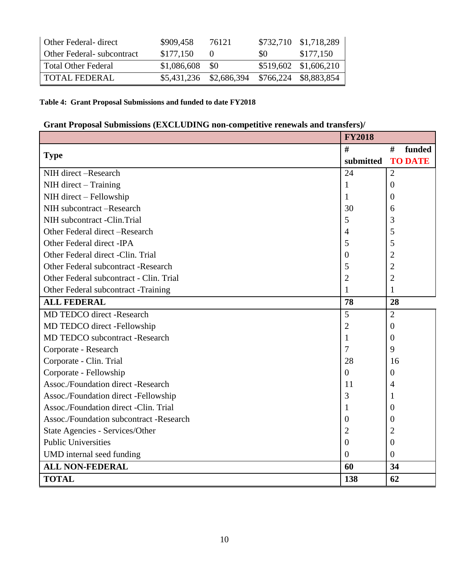| Other Federal- direct             | \$909,458        | 76121                                         |      | \$732,710 \$1,718,289 |
|-----------------------------------|------------------|-----------------------------------------------|------|-----------------------|
| <b>Other Federal-</b> subcontract | \$177,150        |                                               | SO – | \$177,150             |
| Total Other Federal               | $$1,086,608$ \$0 |                                               |      | \$519,602 \$1,606,210 |
| TOTAL FEDERAL                     |                  | \$5,431,236 \$2,686,394 \$766,224 \$8,883,854 |      |                       |

### **Table 4: Grant Proposal Submissions and funded to date FY2018**

## **Grant Proposal Submissions (EXCLUDING non-competitive renewals and transfers)/**

|                                           | <b>FY2018</b>    |                |
|-------------------------------------------|------------------|----------------|
| <b>Type</b>                               | #                | #<br>funded    |
|                                           | submitted        | <b>TO DATE</b> |
| NIH direct -Research                      | 24               | $\overline{2}$ |
| NIH direct – Training                     | 1                | $\theta$       |
| NIH direct - Fellowship                   | 1                | 0              |
| NIH subcontract -Research                 | 30               | 6              |
| NIH subcontract -Clin.Trial               | 5                | 3              |
| Other Federal direct – Research           | 4                | 5              |
| Other Federal direct -IPA                 | 5                | 5              |
| Other Federal direct -Clin. Trial         | $\boldsymbol{0}$ | $\overline{2}$ |
| Other Federal subcontract -Research       | 5                | $\overline{2}$ |
| Other Federal subcontract - Clin. Trial   | $\overline{2}$   | $\overline{2}$ |
| Other Federal subcontract -Training       | 1                | 1              |
| <b>ALL FEDERAL</b>                        | 78               | 28             |
| <b>MD TEDCO</b> direct -Research          | 5                | $\overline{2}$ |
| MD TEDCO direct -Fellowship               | $\overline{2}$   | $\overline{0}$ |
| <b>MD TEDCO</b> subcontract -Research     | 1                | 0              |
| Corporate - Research                      | 7                | 9              |
| Corporate - Clin. Trial                   | 28               | 16             |
| Corporate - Fellowship                    | $\overline{0}$   | $\theta$       |
| <b>Assoc./Foundation direct -Research</b> | 11               | 4              |
| Assoc./Foundation direct -Fellowship      | 3                | -1             |
| Assoc./Foundation direct -Clin. Trial     | 1                | $\overline{0}$ |
| Assoc./Foundation subcontract -Research   | 0                | $\overline{0}$ |
| State Agencies - Services/Other           | $\overline{2}$   | $\overline{2}$ |
| <b>Public Universities</b>                | $\boldsymbol{0}$ | $\overline{0}$ |
| UMD internal seed funding                 | $\boldsymbol{0}$ | $\overline{0}$ |
| <b>ALL NON-FEDERAL</b>                    | 60               | 34             |
| <b>TOTAL</b>                              | 138              | 62             |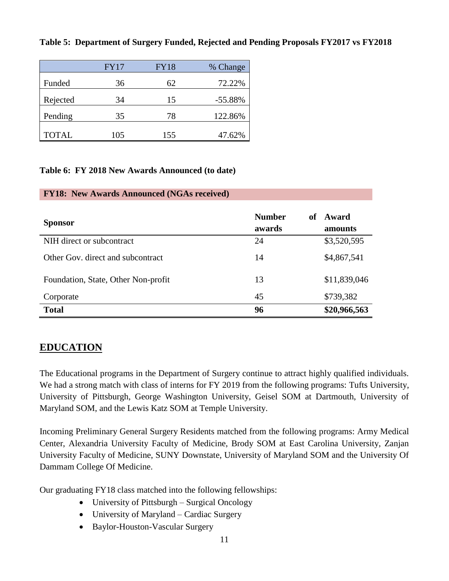#### **Table 5: Department of Surgery Funded, Rejected and Pending Proposals FY2017 vs FY2018**

|              | <b>FY17</b> | <b>FY18</b> | % Change  |
|--------------|-------------|-------------|-----------|
| Funded       | 36          | 62          | 72.22%    |
| Rejected     | 34          | 15          | $-55.88%$ |
| Pending      | 35          | 78          | 122.86%   |
| <b>TOTAL</b> | 105         | 155         | 47.62%    |

#### **Table 6: FY 2018 New Awards Announced (to date)**

#### **FY18: New Awards Announced (NGAs received)**

| <b>Sponsor</b>                      | <b>Number</b><br>of<br>awards | Award<br>amounts |
|-------------------------------------|-------------------------------|------------------|
| NIH direct or subcontract           | 24                            | \$3,520,595      |
| Other Gov. direct and subcontract   | 14                            | \$4,867,541      |
| Foundation, State, Other Non-profit | 13                            | \$11,839,046     |
| Corporate                           | 45                            | \$739,382        |
| <b>Total</b>                        | 96                            | \$20,966,563     |

## **EDUCATION**

The Educational programs in the Department of Surgery continue to attract highly qualified individuals. We had a strong match with class of interns for FY 2019 from the following programs: Tufts University, University of Pittsburgh, George Washington University, Geisel SOM at Dartmouth, University of Maryland SOM, and the Lewis Katz SOM at Temple University.

Incoming Preliminary General Surgery Residents matched from the following programs: Army Medical Center, Alexandria University Faculty of Medicine, Brody SOM at East Carolina University, Zanjan University Faculty of Medicine, SUNY Downstate, University of Maryland SOM and the University Of Dammam College Of Medicine.

Our graduating FY18 class matched into the following fellowships:

- University of Pittsburgh Surgical Oncology
- University of Maryland Cardiac Surgery
- Baylor-Houston-Vascular Surgery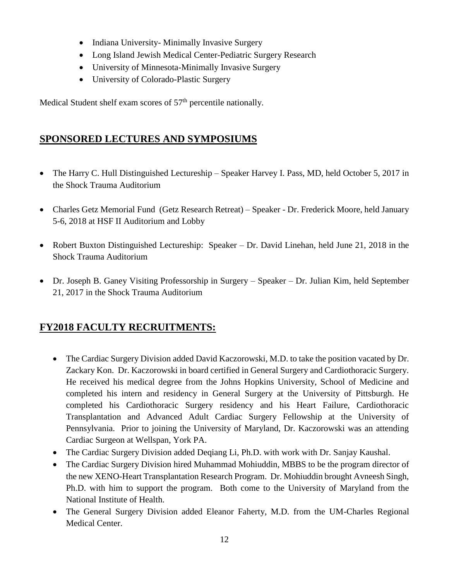- Indiana University- Minimally Invasive Surgery
- Long Island Jewish Medical Center-Pediatric Surgery Research
- University of Minnesota-Minimally Invasive Surgery
- University of Colorado-Plastic Surgery

Medical Student shelf exam scores of  $57<sup>th</sup>$  percentile nationally.

# **SPONSORED LECTURES AND SYMPOSIUMS**

- The Harry C. Hull Distinguished Lectureship Speaker Harvey I. Pass, MD, held October 5, 2017 in the Shock Trauma Auditorium
- Charles Getz Memorial Fund (Getz Research Retreat) Speaker Dr. Frederick Moore, held January 5-6, 2018 at HSF II Auditorium and Lobby
- Robert Buxton Distinguished Lectureship: Speaker Dr. David Linehan, held June 21, 2018 in the Shock Trauma Auditorium
- Dr. Joseph B. Ganey Visiting Professorship in Surgery Speaker Dr. Julian Kim, held September 21, 2017 in the Shock Trauma Auditorium

# **FY2018 FACULTY RECRUITMENTS:**

- The Cardiac Surgery Division added David Kaczorowski, M.D. to take the position vacated by Dr. Zackary Kon. Dr. Kaczorowski in board certified in General Surgery and Cardiothoracic Surgery. He received his medical degree from the Johns Hopkins University, School of Medicine and completed his intern and residency in General Surgery at the University of Pittsburgh. He completed his Cardiothoracic Surgery residency and his Heart Failure, Cardiothoracic Transplantation and Advanced Adult Cardiac Surgery Fellowship at the University of Pennsylvania. Prior to joining the University of Maryland, Dr. Kaczorowski was an attending Cardiac Surgeon at Wellspan, York PA.
- The Cardiac Surgery Division added Deqiang Li, Ph.D. with work with Dr. Sanjay Kaushal.
- The Cardiac Surgery Division hired Muhammad Mohiuddin, MBBS to be the program director of the new XENO-Heart Transplantation Research Program. Dr. Mohiuddin brought Avneesh Singh, Ph.D. with him to support the program. Both come to the University of Maryland from the National Institute of Health.
- The General Surgery Division added Eleanor Faherty, M.D. from the UM-Charles Regional Medical Center.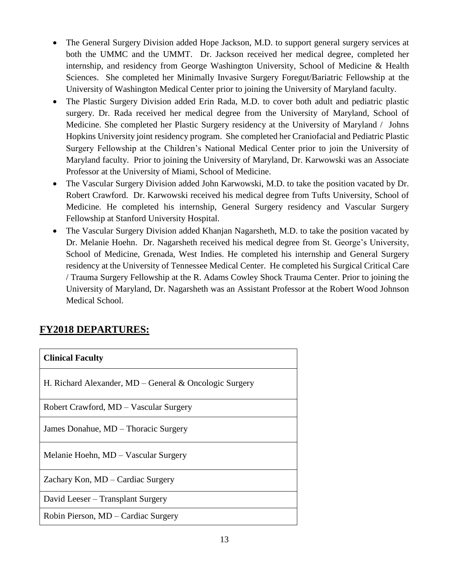- The General Surgery Division added Hope Jackson, M.D. to support general surgery services at both the UMMC and the UMMT. Dr. Jackson received her medical degree, completed her internship, and residency from George Washington University, School of Medicine & Health Sciences. She completed her Minimally Invasive Surgery Foregut/Bariatric Fellowship at the University of Washington Medical Center prior to joining the University of Maryland faculty.
- The Plastic Surgery Division added Erin Rada, M.D. to cover both adult and pediatric plastic surgery. Dr. Rada received her medical degree from the University of Maryland, School of Medicine. She completed her Plastic Surgery residency at the University of Maryland / Johns Hopkins University joint residency program. She completed her Craniofacial and Pediatric Plastic Surgery Fellowship at the Children's National Medical Center prior to join the University of Maryland faculty. Prior to joining the University of Maryland, Dr. Karwowski was an Associate Professor at the University of Miami, School of Medicine.
- The Vascular Surgery Division added John Karwowski, M.D. to take the position vacated by Dr. Robert Crawford. Dr. Karwowski received his medical degree from Tufts University, School of Medicine. He completed his internship, General Surgery residency and Vascular Surgery Fellowship at Stanford University Hospital.
- The Vascular Surgery Division added Khanjan Nagarsheth, M.D. to take the position vacated by Dr. Melanie Hoehn. Dr. Nagarsheth received his medical degree from St. George's University, School of Medicine, Grenada, West Indies. He completed his internship and General Surgery residency at the University of Tennessee Medical Center. He completed his Surgical Critical Care / Trauma Surgery Fellowship at the R. Adams Cowley Shock Trauma Center. Prior to joining the University of Maryland, Dr. Nagarsheth was an Assistant Professor at the Robert Wood Johnson Medical School.

# **FY2018 DEPARTURES:**

| <b>Clinical Faculty</b>                                |
|--------------------------------------------------------|
| H. Richard Alexander, MD – General & Oncologic Surgery |
| Robert Crawford, MD – Vascular Surgery                 |
| James Donahue, MD - Thoracic Surgery                   |
| Melanie Hoehn, MD – Vascular Surgery                   |
| Zachary Kon, MD – Cardiac Surgery                      |
| David Leeser – Transplant Surgery                      |
| Robin Pierson, MD – Cardiac Surgery                    |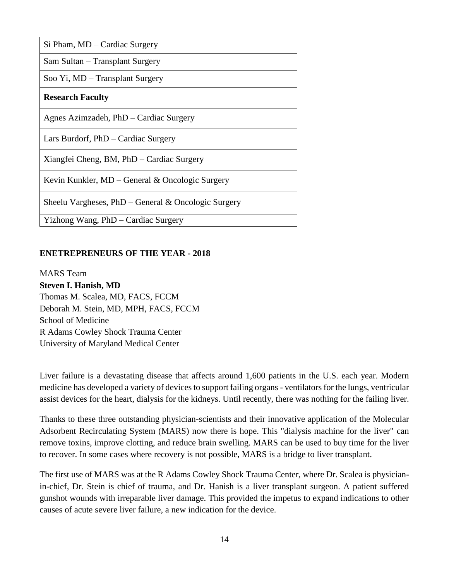| Si Pham, MD - Cardiac Surgery                          |
|--------------------------------------------------------|
| Sam Sultan – Transplant Surgery                        |
| Soo Yi, MD – Transplant Surgery                        |
| <b>Research Faculty</b>                                |
| Agnes Azimzadeh, PhD – Cardiac Surgery                 |
| Lars Burdorf, PhD – Cardiac Surgery                    |
| Xiangfei Cheng, BM, PhD – Cardiac Surgery              |
| Kevin Kunkler, MD – General & Oncologic Surgery        |
| Sheelu Vargheses, $PhD - General \& Oncologic Surgery$ |
| Yizhong Wang, PhD – Cardiac Surgery                    |

#### **ENETREPRENEURS OF THE YEAR - 2018**

MARS Team **Steven I. Hanish, MD** Thomas M. Scalea, MD, FACS, FCCM Deborah M. Stein, MD, MPH, FACS, FCCM School of Medicine R Adams Cowley Shock Trauma Center University of Maryland Medical Center

Liver failure is a devastating disease that affects around 1,600 patients in the U.S. each year. Modern medicine has developed a variety of devices to support failing organs - ventilators for the lungs, ventricular assist devices for the heart, dialysis for the kidneys. Until recently, there was nothing for the failing liver.

Thanks to these three outstanding physician-scientists and their innovative application of the Molecular Adsorbent Recirculating System (MARS) now there is hope. This "dialysis machine for the liver" can remove toxins, improve clotting, and reduce brain swelling. MARS can be used to buy time for the liver to recover. In some cases where recovery is not possible, MARS is a bridge to liver transplant.

The first use of MARS was at the R Adams Cowley Shock Trauma Center, where Dr. Scalea is physicianin-chief, Dr. Stein is chief of trauma, and Dr. Hanish is a liver transplant surgeon. A patient suffered gunshot wounds with irreparable liver damage. This provided the impetus to expand indications to other causes of acute severe liver failure, a new indication for the device.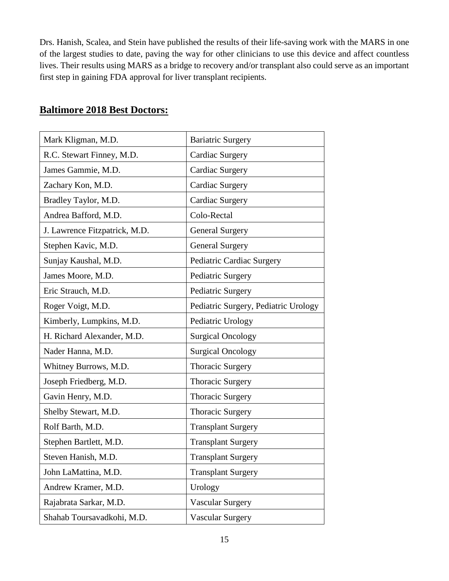Drs. Hanish, Scalea, and Stein have published the results of their life-saving work with the MARS in one of the largest studies to date, paving the way for other clinicians to use this device and affect countless lives. Their results using MARS as a bridge to recovery and/or transplant also could serve as an important first step in gaining FDA approval for liver transplant recipients.

| Mark Kligman, M.D.            | <b>Bariatric Surgery</b>             |
|-------------------------------|--------------------------------------|
| R.C. Stewart Finney, M.D.     | Cardiac Surgery                      |
| James Gammie, M.D.            | <b>Cardiac Surgery</b>               |
| Zachary Kon, M.D.             | Cardiac Surgery                      |
| Bradley Taylor, M.D.          | Cardiac Surgery                      |
| Andrea Bafford, M.D.          | Colo-Rectal                          |
| J. Lawrence Fitzpatrick, M.D. | <b>General Surgery</b>               |
| Stephen Kavic, M.D.           | <b>General Surgery</b>               |
| Sunjay Kaushal, M.D.          | Pediatric Cardiac Surgery            |
| James Moore, M.D.             | Pediatric Surgery                    |
| Eric Strauch, M.D.            | Pediatric Surgery                    |
| Roger Voigt, M.D.             | Pediatric Surgery, Pediatric Urology |
| Kimberly, Lumpkins, M.D.      | Pediatric Urology                    |
| H. Richard Alexander, M.D.    | <b>Surgical Oncology</b>             |
| Nader Hanna, M.D.             | <b>Surgical Oncology</b>             |
| Whitney Burrows, M.D.         | <b>Thoracic Surgery</b>              |
| Joseph Friedberg, M.D.        | <b>Thoracic Surgery</b>              |
| Gavin Henry, M.D.             | <b>Thoracic Surgery</b>              |
| Shelby Stewart, M.D.          | <b>Thoracic Surgery</b>              |
| Rolf Barth, M.D.              | <b>Transplant Surgery</b>            |
| Stephen Bartlett, M.D.        | <b>Transplant Surgery</b>            |
| Steven Hanish, M.D.           | <b>Transplant Surgery</b>            |
| John LaMattina, M.D.          | <b>Transplant Surgery</b>            |
| Andrew Kramer, M.D.           | Urology                              |
| Rajabrata Sarkar, M.D.        | <b>Vascular Surgery</b>              |
| Shahab Toursavadkohi, M.D.    | <b>Vascular Surgery</b>              |

# **Baltimore 2018 Best Doctors:**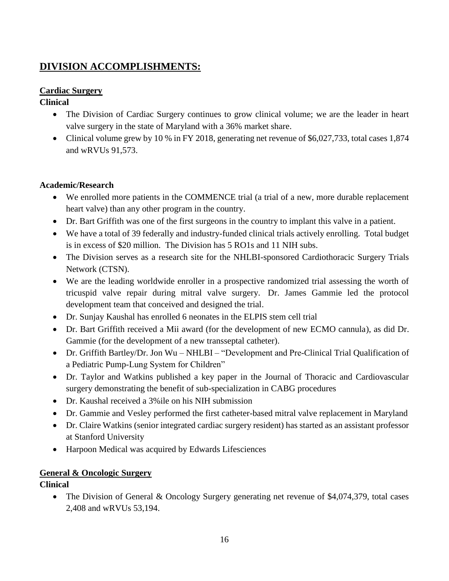# **DIVISION ACCOMPLISHMENTS:**

## **Cardiac Surgery**

## **Clinical**

- The Division of Cardiac Surgery continues to grow clinical volume; we are the leader in heart valve surgery in the state of Maryland with a 36% market share.
- Clinical volume grew by 10 % in FY 2018, generating net revenue of \$6,027,733, total cases 1,874 and wRVUs 91,573.

### **Academic/Research**

- We enrolled more patients in the COMMENCE trial (a trial of a new, more durable replacement heart valve) than any other program in the country.
- Dr. Bart Griffith was one of the first surgeons in the country to implant this valve in a patient.
- We have a total of 39 federally and industry-funded clinical trials actively enrolling. Total budget is in excess of \$20 million. The Division has 5 RO1s and 11 NIH subs.
- The Division serves as a research site for the NHLBI-sponsored Cardiothoracic Surgery Trials Network (CTSN).
- We are the leading worldwide enroller in a prospective randomized trial assessing the worth of tricuspid valve repair during mitral valve surgery. Dr. James Gammie led the protocol development team that conceived and designed the trial.
- Dr. Sunjay Kaushal has enrolled 6 neonates in the ELPIS stem cell trial
- Dr. Bart Griffith received a Mii award (for the development of new ECMO cannula), as did Dr. Gammie (for the development of a new transseptal catheter).
- Dr. Griffith Bartley/Dr. Jon Wu NHLBI "Development and Pre-Clinical Trial Qualification of a Pediatric Pump-Lung System for Children"
- Dr. Taylor and Watkins published a key paper in the Journal of Thoracic and Cardiovascular surgery demonstrating the benefit of sub-specialization in CABG procedures
- Dr. Kaushal received a 3%ile on his NIH submission
- Dr. Gammie and Vesley performed the first catheter-based mitral valve replacement in Maryland
- Dr. Claire Watkins (senior integrated cardiac surgery resident) has started as an assistant professor at Stanford University
- Harpoon Medical was acquired by Edwards Lifesciences

## **General & Oncologic Surgery**

## **Clinical**

• The Division of General & Oncology Surgery generating net revenue of \$4,074,379, total cases 2,408 and wRVUs 53,194.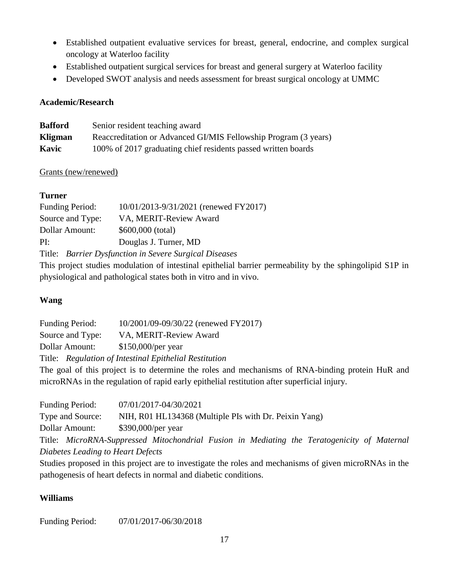- Established outpatient evaluative services for breast, general, endocrine, and complex surgical oncology at Waterloo facility
- Established outpatient surgical services for breast and general surgery at Waterloo facility
- Developed SWOT analysis and needs assessment for breast surgical oncology at UMMC

#### **Academic/Research**

| <b>Bafford</b> | Senior resident teaching award                                  |
|----------------|-----------------------------------------------------------------|
| Kligman        | Reaccreditation or Advanced GI/MIS Fellowship Program (3 years) |
| Kavic          | 100% of 2017 graduating chief residents passed written boards   |

#### Grants (new/renewed)

## **Turner**

| <b>Funding Period:</b>                                 | 10/01/2013-9/31/2021 (renewed FY2017) |  |
|--------------------------------------------------------|---------------------------------------|--|
| Source and Type:                                       | VA, MERIT-Review Award                |  |
| Dollar Amount:                                         | $$600,000$ (total)                    |  |
| PI:                                                    | Douglas J. Turner, MD                 |  |
| Title: Barrier Dysfunction in Severe Surgical Diseases |                                       |  |

This project studies modulation of intestinal epithelial barrier permeability by the sphingolipid S1P in physiological and pathological states both in vitro and in vivo.

## **Wang**

| <b>Funding Period:</b>                                        | 10/2001/09-09/30/22 (renewed FY2017)                   |  |
|---------------------------------------------------------------|--------------------------------------------------------|--|
| Source and Type:                                              | VA, MERIT-Review Award                                 |  |
| Dollar Amount:                                                | $$150,000/per$ year                                    |  |
|                                                               | Title: Regulation of Intestinal Epithelial Restitution |  |
| The goal of this project is to determine the roles and mechan |                                                        |  |

The goal of this project is to determine the roles and mechanisms of RNA-binding protein HuR and microRNAs in the regulation of rapid early epithelial restitution after superficial injury.

| <b>Funding Period:</b>            | 07/01/2017-04/30/2021                                                                       |  |
|-----------------------------------|---------------------------------------------------------------------------------------------|--|
| Type and Source:                  | NIH, R01 HL134368 (Multiple PIs with Dr. Peixin Yang)                                       |  |
| Dollar Amount:                    | \$390,000/per year                                                                          |  |
|                                   | Title: MicroRNA-Suppressed Mitochondrial Fusion in Mediating the Teratogenicity of Maternal |  |
| Diabetes Leading to Heart Defects |                                                                                             |  |

Studies proposed in this project are to investigate the roles and mechanisms of given microRNAs in the pathogenesis of heart defects in normal and diabetic conditions.

## **Williams**

Funding Period: 07/01/2017-06/30/2018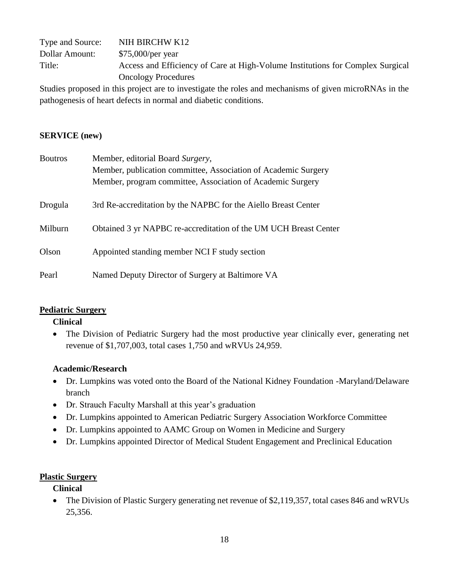| Type and Source: | NIH BIRCHW K12                                                                 |
|------------------|--------------------------------------------------------------------------------|
| Dollar Amount:   | \$75,000/per year                                                              |
| Title:           | Access and Efficiency of Care at High-Volume Institutions for Complex Surgical |
|                  | <b>Oncology Procedures</b>                                                     |

Studies proposed in this project are to investigate the roles and mechanisms of given microRNAs in the pathogenesis of heart defects in normal and diabetic conditions.

#### **SERVICE (new)**

| <b>Boutros</b> | Member, editorial Board Surgery,                                 |
|----------------|------------------------------------------------------------------|
|                | Member, publication committee, Association of Academic Surgery   |
|                | Member, program committee, Association of Academic Surgery       |
| Drogula        | 3rd Re-accreditation by the NAPBC for the Aiello Breast Center   |
| Milburn        | Obtained 3 yr NAPBC re-accreditation of the UM UCH Breast Center |
| Olson          | Appointed standing member NCI F study section                    |
| Pearl          | Named Deputy Director of Surgery at Baltimore VA                 |

#### **Pediatric Surgery**

#### **Clinical**

• The Division of Pediatric Surgery had the most productive year clinically ever, generating net revenue of \$1,707,003, total cases 1,750 and wRVUs 24,959.

#### **Academic/Research**

- Dr. Lumpkins was voted onto the Board of the National Kidney Foundation -Maryland/Delaware branch
- Dr. Strauch Faculty Marshall at this year's graduation
- Dr. Lumpkins appointed to American Pediatric Surgery Association Workforce Committee
- Dr. Lumpkins appointed to AAMC Group on Women in Medicine and Surgery
- Dr. Lumpkins appointed Director of Medical Student Engagement and Preclinical Education

#### **Plastic Surgery**

#### **Clinical**

• The Division of Plastic Surgery generating net revenue of \$2,119,357, total cases 846 and wRVUs 25,356.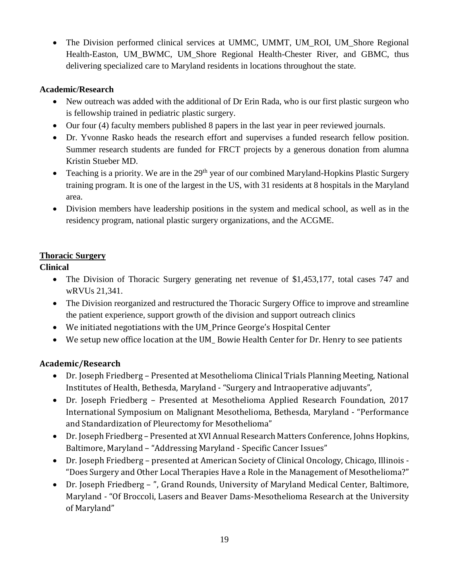• The Division performed clinical services at UMMC, UMMT, UM\_ROI, UM\_Shore Regional Health-Easton, UM\_BWMC, UM\_Shore Regional Health-Chester River, and GBMC, thus delivering specialized care to Maryland residents in locations throughout the state.

### **Academic/Research**

- New outreach was added with the additional of Dr Erin Rada, who is our first plastic surgeon who is fellowship trained in pediatric plastic surgery.
- Our four (4) faculty members published 8 papers in the last year in peer reviewed journals.
- Dr. Yvonne Rasko heads the research effort and supervises a funded research fellow position. Summer research students are funded for FRCT projects by a generous donation from alumna Kristin Stueber MD.
- Teaching is a priority. We are in the  $29<sup>th</sup>$  year of our combined Maryland-Hopkins Plastic Surgery training program. It is one of the largest in the US, with 31 residents at 8 hospitals in the Maryland area.
- Division members have leadership positions in the system and medical school, as well as in the residency program, national plastic surgery organizations, and the ACGME.

## **Thoracic Surgery**

## **Clinical**

- The Division of Thoracic Surgery generating net revenue of \$1,453,177, total cases 747 and wRVUs 21,341.
- The Division reorganized and restructured the Thoracic Surgery Office to improve and streamline the patient experience, support growth of the division and support outreach clinics
- We initiated negotiations with the UM\_Prince George's Hospital Center
- We setup new office location at the UM\_ Bowie Health Center for Dr. Henry to see patients

## **Academic/Research**

- Dr. Joseph Friedberg Presented at Mesothelioma Clinical Trials Planning Meeting, National Institutes of Health, Bethesda, Maryland - "Surgery and Intraoperative adjuvants",
- Dr. Joseph Friedberg Presented at Mesothelioma Applied Research Foundation, 2017 International Symposium on Malignant Mesothelioma, Bethesda, Maryland - "Performance and Standardization of Pleurectomy for Mesothelioma"
- Dr. Joseph Friedberg Presented at XVI Annual Research Matters Conference, Johns Hopkins, Baltimore, Maryland – "Addressing Maryland - Specific Cancer Issues"
- Dr. Joseph Friedberg presented at American Society of Clinical Oncology, Chicago, Illinois "Does Surgery and Other Local Therapies Have a Role in the Management of Mesothelioma?"
- Dr. Joseph Friedberg ", Grand Rounds, University of Maryland Medical Center, Baltimore, Maryland - "Of Broccoli, Lasers and Beaver Dams-Mesothelioma Research at the University of Maryland"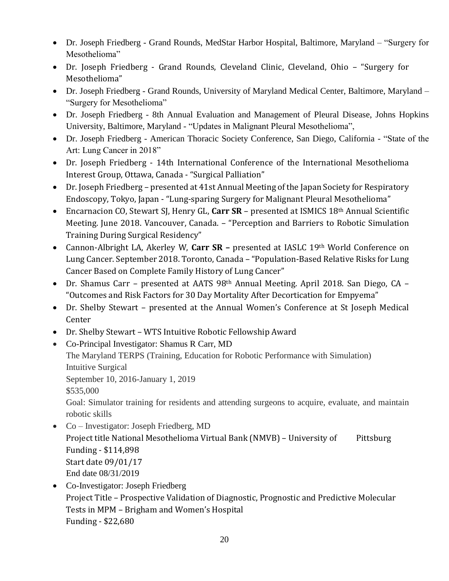- Dr. Joseph Friedberg Grand Rounds, MedStar Harbor Hospital, Baltimore, Maryland "Surgery for Mesothelioma"
- Dr. Joseph Friedberg Grand Rounds, Cleveland Clinic, Cleveland, Ohio "Surgery for Mesothelioma"
- Dr. Joseph Friedberg Grand Rounds, University of Maryland Medical Center, Baltimore, Maryland "Surgery for Mesothelioma"
- Dr. Joseph Friedberg 8th Annual Evaluation and Management of Pleural Disease, Johns Hopkins University, Baltimore, Maryland - "Updates in Malignant Pleural Mesothelioma",
- Dr. Joseph Friedberg American Thoracic Society Conference, San Diego, California "State of the Art: Lung Cancer in 2018"
- Dr. Joseph Friedberg 14th International Conference of the International Mesothelioma Interest Group, Ottawa, Canada - "Surgical Palliation"
- Dr. Joseph Friedberg presented at 41st Annual Meeting of the Japan Society for Respiratory Endoscopy, Tokyo, Japan - "Lung-sparing Surgery for Malignant Pleural Mesothelioma"
- Encarnacion CO, Stewart SJ, Henry GL, **Carr SR** presented at ISMICS 18th Annual Scientific Meeting. June 2018. Vancouver, Canada. – "Perception and Barriers to Robotic Simulation Training During Surgical Residency"
- Cannon-Albright LA, Akerley W, **Carr SR –** presented at IASLC 19th World Conference on Lung Cancer. September 2018. Toronto, Canada – "Population-Based Relative Risks for Lung Cancer Based on Complete Family History of Lung Cancer"
- Dr. Shamus Carr presented at AATS 98th Annual Meeting. April 2018. San Diego, CA "Outcomes and Risk Factors for 30 Day Mortality After Decortication for Empyema"
- Dr. Shelby Stewart presented at the Annual Women's Conference at St Joseph Medical Center
- Dr. Shelby Stewart WTS Intuitive Robotic Fellowship Award
- Co-Principal Investigator: Shamus R Carr, MD
	- The Maryland TERPS (Training, Education for Robotic Performance with Simulation) Intuitive Surgical

September 10, 2016-January 1, 2019

\$535,000

Goal: Simulator training for residents and attending surgeons to acquire, evaluate, and maintain robotic skills

- Co Investigator: Joseph Friedberg, MD Project title National Mesothelioma Virtual Bank (NMVB) – University of Pittsburg Funding - \$114,898 Start date 09/01/17 End date 08/31/2019
- Co-Investigator: Joseph Friedberg Project Title – Prospective Validation of Diagnostic, Prognostic and Predictive Molecular Tests in MPM – Brigham and Women's Hospital Funding - \$22,680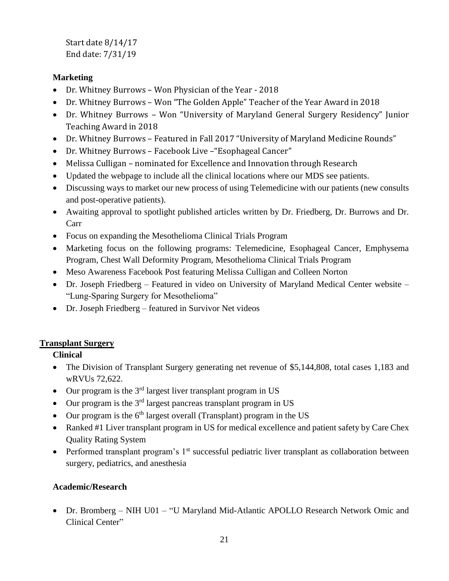Start date 8/14/17 End date: 7/31/19

### **Marketing**

- Dr. Whitney Burrows Won Physician of the Year 2018
- Dr. Whitney Burrows Won "The Golden Apple" Teacher of the Year Award in 2018
- Dr. Whitney Burrows Won "University of Maryland General Surgery Residency" Junior Teaching Award in 2018
- Dr. Whitney Burrows Featured in Fall 2017 "University of Maryland Medicine Rounds"
- Dr. Whitney Burrows Facebook Live –"Esophageal Cancer"
- Melissa Culligan nominated for Excellence and Innovation through Research
- Updated the webpage to include all the clinical locations where our MDS see patients.
- Discussing ways to market our new process of using Telemedicine with our patients (new consults and post-operative patients).
- Awaiting approval to spotlight published articles written by Dr. Friedberg, Dr. Burrows and Dr. Carr
- Focus on expanding the Mesothelioma Clinical Trials Program
- Marketing focus on the following programs: Telemedicine, Esophageal Cancer, Emphysema Program, Chest Wall Deformity Program, Mesothelioma Clinical Trials Program
- Meso Awareness Facebook Post featuring Melissa Culligan and Colleen Norton
- Dr. Joseph Friedberg Featured in video on University of Maryland Medical Center website "Lung-Sparing Surgery for Mesothelioma"
- Dr. Joseph Friedberg featured in Survivor Net videos

## **Transplant Surgery**

## **Clinical**

- The Division of Transplant Surgery generating net revenue of \$5,144,808, total cases 1,183 and wRVUs 72,622.
- $\bullet$  Our program is the 3<sup>rd</sup> largest liver transplant program in US
- $\bullet$  Our program is the 3<sup>rd</sup> largest pancreas transplant program in US
- $\bullet$  Our program is the 6<sup>th</sup> largest overall (Transplant) program in the US
- Ranked #1 Liver transplant program in US for medical excellence and patient safety by Care Chex Quality Rating System
- $\bullet$  Performed transplant program's 1<sup>st</sup> successful pediatric liver transplant as collaboration between surgery, pediatrics, and anesthesia

## **Academic/Research**

 Dr. Bromberg – NIH U01 – "U Maryland Mid-Atlantic APOLLO Research Network Omic and Clinical Center"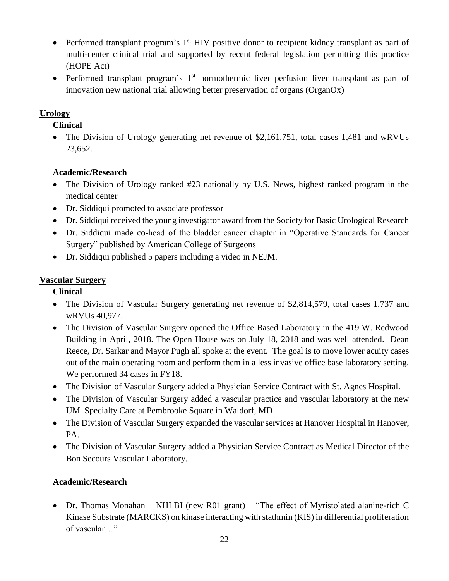- Performed transplant program's  $1<sup>st</sup>$  HIV positive donor to recipient kidney transplant as part of multi-center clinical trial and supported by recent federal legislation permitting this practice (HOPE Act)
- Performed transplant program's  $1<sup>st</sup>$  normothermic liver perfusion liver transplant as part of innovation new national trial allowing better preservation of organs (OrganOx)

## **Urology**

**Clinical**

• The Division of Urology generating net revenue of \$2,161,751, total cases 1,481 and wRVUs 23,652.

## **Academic/Research**

- The Division of Urology ranked #23 nationally by U.S. News, highest ranked program in the medical center
- Dr. Siddiqui promoted to associate professor
- Dr. Siddiqui received the young investigator award from the Society for Basic Urological Research
- Dr. Siddiqui made co-head of the bladder cancer chapter in "Operative Standards for Cancer Surgery" published by American College of Surgeons
- Dr. Siddiqui published 5 papers including a video in NEJM.

## **Vascular Surgery**

## **Clinical**

- The Division of Vascular Surgery generating net revenue of \$2,814,579, total cases 1,737 and wRVUs 40,977.
- The Division of Vascular Surgery opened the Office Based Laboratory in the 419 W. Redwood Building in April, 2018. The Open House was on July 18, 2018 and was well attended. Dean Reece, Dr. Sarkar and Mayor Pugh all spoke at the event. The goal is to move lower acuity cases out of the main operating room and perform them in a less invasive office base laboratory setting. We performed 34 cases in FY18.
- The Division of Vascular Surgery added a Physician Service Contract with St. Agnes Hospital.
- The Division of Vascular Surgery added a vascular practice and vascular laboratory at the new UM\_Specialty Care at Pembrooke Square in Waldorf, MD
- The Division of Vascular Surgery expanded the vascular services at Hanover Hospital in Hanover, PA.
- The Division of Vascular Surgery added a Physician Service Contract as Medical Director of the Bon Secours Vascular Laboratory.

## **Academic/Research**

 Dr. Thomas Monahan – NHLBI (new R01 grant) – "The effect of Myristolated alanine-rich C Kinase Substrate (MARCKS) on kinase interacting with stathmin (KIS) in differential proliferation of vascular…"